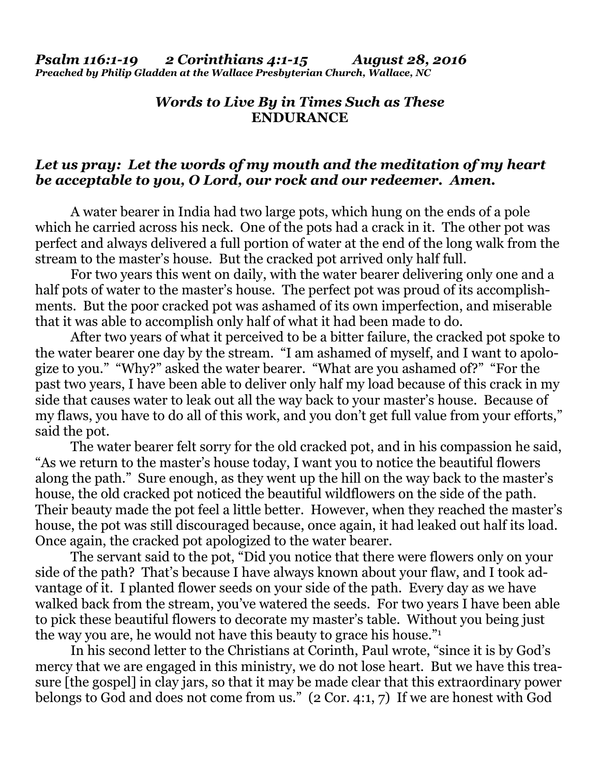## *Words to Live By in Times Such as These*  **ENDURANCE**

## *Let us pray: Let the words of my mouth and the meditation of my heart be acceptable to you, O Lord, our rock and our redeemer. Amen.*

A water bearer in India had two large pots, which hung on the ends of a pole which he carried across his neck. One of the pots had a crack in it. The other pot was perfect and always delivered a full portion of water at the end of the long walk from the stream to the master's house. But the cracked pot arrived only half full.

 For two years this went on daily, with the water bearer delivering only one and a half pots of water to the master's house. The perfect pot was proud of its accomplishments. But the poor cracked pot was ashamed of its own imperfection, and miserable that it was able to accomplish only half of what it had been made to do.

 After two years of what it perceived to be a bitter failure, the cracked pot spoke to the water bearer one day by the stream. "I am ashamed of myself, and I want to apologize to you." "Why?" asked the water bearer. "What are you ashamed of?" "For the past two years, I have been able to deliver only half my load because of this crack in my side that causes water to leak out all the way back to your master's house. Because of my flaws, you have to do all of this work, and you don't get full value from your efforts," said the pot.

 The water bearer felt sorry for the old cracked pot, and in his compassion he said, "As we return to the master's house today, I want you to notice the beautiful flowers along the path." Sure enough, as they went up the hill on the way back to the master's house, the old cracked pot noticed the beautiful wildflowers on the side of the path. Their beauty made the pot feel a little better. However, when they reached the master's house, the pot was still discouraged because, once again, it had leaked out half its load. Once again, the cracked pot apologized to the water bearer.

 The servant said to the pot, "Did you notice that there were flowers only on your side of the path? That's because I have always known about your flaw, and I took advantage of it. I planted flower seeds on your side of the path. Every day as we have walked back from the stream, you've watered the seeds. For two years I have been able to pick these beautiful flowers to decorate my master's table. Without you being just the way you are, he would not have this beauty to grace his house."1

 In his second letter to the Christians at Corinth, Paul wrote, "since it is by God's mercy that we are engaged in this ministry, we do not lose heart. But we have this treasure [the gospel] in clay jars, so that it may be made clear that this extraordinary power belongs to God and does not come from us." (2 Cor. 4:1, 7) If we are honest with God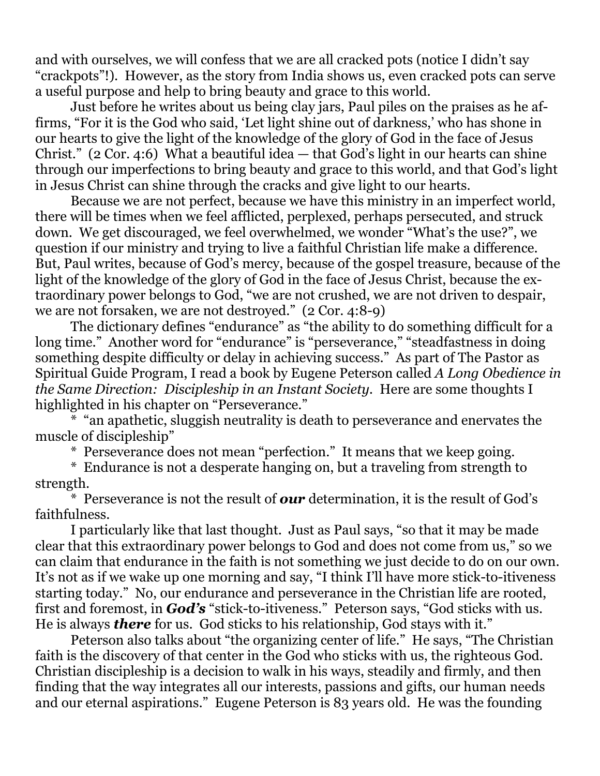and with ourselves, we will confess that we are all cracked pots (notice I didn't say "crackpots"!). However, as the story from India shows us, even cracked pots can serve a useful purpose and help to bring beauty and grace to this world.

 Just before he writes about us being clay jars, Paul piles on the praises as he affirms, "For it is the God who said, 'Let light shine out of darkness,' who has shone in our hearts to give the light of the knowledge of the glory of God in the face of Jesus Christ." (2 Cor. 4:6) What a beautiful idea — that God's light in our hearts can shine through our imperfections to bring beauty and grace to this world, and that God's light in Jesus Christ can shine through the cracks and give light to our hearts.

 Because we are not perfect, because we have this ministry in an imperfect world, there will be times when we feel afflicted, perplexed, perhaps persecuted, and struck down. We get discouraged, we feel overwhelmed, we wonder "What's the use?", we question if our ministry and trying to live a faithful Christian life make a difference. But, Paul writes, because of God's mercy, because of the gospel treasure, because of the light of the knowledge of the glory of God in the face of Jesus Christ, because the extraordinary power belongs to God, "we are not crushed, we are not driven to despair, we are not forsaken, we are not destroyed." (2 Cor. 4:8-9)

 The dictionary defines "endurance" as "the ability to do something difficult for a long time." Another word for "endurance" is "perseverance," "steadfastness in doing something despite difficulty or delay in achieving success." As part of The Pastor as Spiritual Guide Program, I read a book by Eugene Peterson called *A Long Obedience in the Same Direction: Discipleship in an Instant Society. Here are some thoughts I* highlighted in his chapter on "Perseverance."

\* "an apathetic, sluggish neutrality is death to perseverance and enervates the muscle of discipleship"

\* Perseverance does not mean "perfection." It means that we keep going.

 \* Endurance is not a desperate hanging on, but a traveling from strength to strength.

 \* Perseverance is not the result of *our* determination, it is the result of God's faithfulness.

 I particularly like that last thought. Just as Paul says, "so that it may be made clear that this extraordinary power belongs to God and does not come from us," so we can claim that endurance in the faith is not something we just decide to do on our own. It's not as if we wake up one morning and say, "I think I'll have more stick-to-itiveness starting today." No, our endurance and perseverance in the Christian life are rooted, first and foremost, in *God's* "stick-to-itiveness." Peterson says, "God sticks with us. He is always *there* for us. God sticks to his relationship, God stays with it."

 Peterson also talks about "the organizing center of life." He says, "The Christian faith is the discovery of that center in the God who sticks with us, the righteous God. Christian discipleship is a decision to walk in his ways, steadily and firmly, and then finding that the way integrates all our interests, passions and gifts, our human needs and our eternal aspirations." Eugene Peterson is 83 years old. He was the founding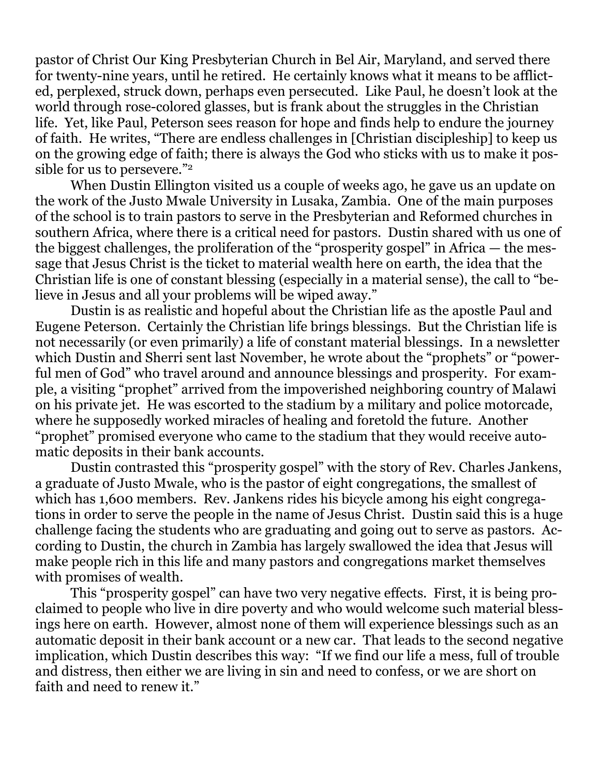pastor of Christ Our King Presbyterian Church in Bel Air, Maryland, and served there for twenty-nine years, until he retired. He certainly knows what it means to be afflicted, perplexed, struck down, perhaps even persecuted. Like Paul, he doesn't look at the world through rose-colored glasses, but is frank about the struggles in the Christian life. Yet, like Paul, Peterson sees reason for hope and finds help to endure the journey of faith. He writes, "There are endless challenges in [Christian discipleship] to keep us on the growing edge of faith; there is always the God who sticks with us to make it possible for us to persevere."2

 When Dustin Ellington visited us a couple of weeks ago, he gave us an update on the work of the Justo Mwale University in Lusaka, Zambia. One of the main purposes of the school is to train pastors to serve in the Presbyterian and Reformed churches in southern Africa, where there is a critical need for pastors. Dustin shared with us one of the biggest challenges, the proliferation of the "prosperity gospel" in Africa — the message that Jesus Christ is the ticket to material wealth here on earth, the idea that the Christian life is one of constant blessing (especially in a material sense), the call to "believe in Jesus and all your problems will be wiped away."

 Dustin is as realistic and hopeful about the Christian life as the apostle Paul and Eugene Peterson. Certainly the Christian life brings blessings. But the Christian life is not necessarily (or even primarily) a life of constant material blessings. In a newsletter which Dustin and Sherri sent last November, he wrote about the "prophets" or "powerful men of God" who travel around and announce blessings and prosperity. For example, a visiting "prophet" arrived from the impoverished neighboring country of Malawi on his private jet. He was escorted to the stadium by a military and police motorcade, where he supposedly worked miracles of healing and foretold the future. Another "prophet" promised everyone who came to the stadium that they would receive automatic deposits in their bank accounts.

 Dustin contrasted this "prosperity gospel" with the story of Rev. Charles Jankens, a graduate of Justo Mwale, who is the pastor of eight congregations, the smallest of which has 1,600 members. Rev. Jankens rides his bicycle among his eight congregations in order to serve the people in the name of Jesus Christ. Dustin said this is a huge challenge facing the students who are graduating and going out to serve as pastors. According to Dustin, the church in Zambia has largely swallowed the idea that Jesus will make people rich in this life and many pastors and congregations market themselves with promises of wealth.

 This "prosperity gospel" can have two very negative effects. First, it is being proclaimed to people who live in dire poverty and who would welcome such material blessings here on earth. However, almost none of them will experience blessings such as an automatic deposit in their bank account or a new car. That leads to the second negative implication, which Dustin describes this way: "If we find our life a mess, full of trouble and distress, then either we are living in sin and need to confess, or we are short on faith and need to renew it."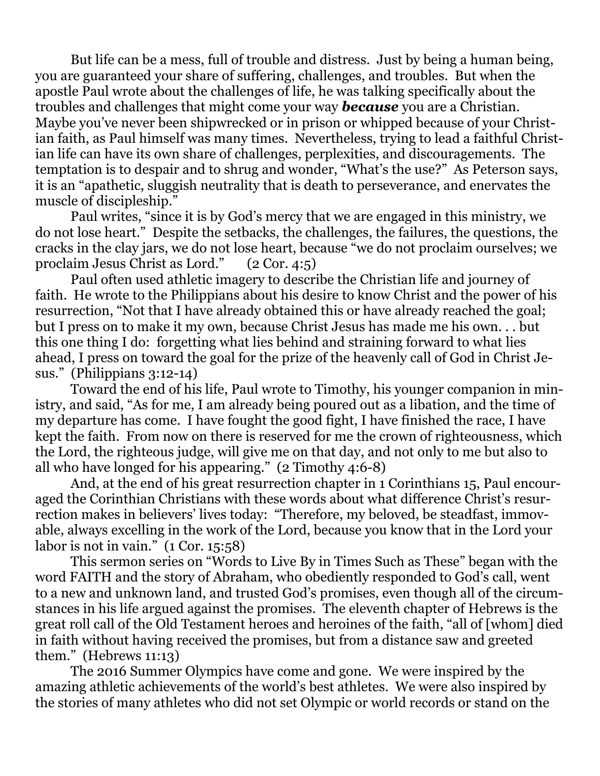But life can be a mess, full of trouble and distress. Just by being a human being, you are guaranteed your share of suffering, challenges, and troubles. But when the apostle Paul wrote about the challenges of life, he was talking specifically about the troubles and challenges that might come your way *because* you are a Christian. Maybe you've never been shipwrecked or in prison or whipped because of your Christian faith, as Paul himself was many times. Nevertheless, trying to lead a faithful Christian life can have its own share of challenges, perplexities, and discouragements. The temptation is to despair and to shrug and wonder, "What's the use?" As Peterson says, it is an "apathetic, sluggish neutrality that is death to perseverance, and enervates the muscle of discipleship."

 Paul writes, "since it is by God's mercy that we are engaged in this ministry, we do not lose heart." Despite the setbacks, the challenges, the failures, the questions, the cracks in the clay jars, we do not lose heart, because "we do not proclaim ourselves; we proclaim Jesus Christ as Lord." (2 Cor. 4:5)

 Paul often used athletic imagery to describe the Christian life and journey of faith. He wrote to the Philippians about his desire to know Christ and the power of his resurrection, "Not that I have already obtained this or have already reached the goal; but I press on to make it my own, because Christ Jesus has made me his own. . . but this one thing I do: forgetting what lies behind and straining forward to what lies ahead, I press on toward the goal for the prize of the heavenly call of God in Christ Jesus." (Philippians 3:12-14)

 Toward the end of his life, Paul wrote to Timothy, his younger companion in ministry, and said, "As for me, I am already being poured out as a libation, and the time of my departure has come. I have fought the good fight, I have finished the race, I have kept the faith. From now on there is reserved for me the crown of righteousness, which the Lord, the righteous judge, will give me on that day, and not only to me but also to all who have longed for his appearing." (2 Timothy 4:6-8)

 And, at the end of his great resurrection chapter in 1 Corinthians 15, Paul encouraged the Corinthian Christians with these words about what difference Christ's resurrection makes in believers' lives today: "Therefore, my beloved, be steadfast, immovable, always excelling in the work of the Lord, because you know that in the Lord your labor is not in vain." (1 Cor. 15:58)

 This sermon series on "Words to Live By in Times Such as These" began with the word FAITH and the story of Abraham, who obediently responded to God's call, went to a new and unknown land, and trusted God's promises, even though all of the circumstances in his life argued against the promises. The eleventh chapter of Hebrews is the great roll call of the Old Testament heroes and heroines of the faith, "all of [whom] died in faith without having received the promises, but from a distance saw and greeted them." (Hebrews 11:13)

 The 2016 Summer Olympics have come and gone. We were inspired by the amazing athletic achievements of the world's best athletes. We were also inspired by the stories of many athletes who did not set Olympic or world records or stand on the